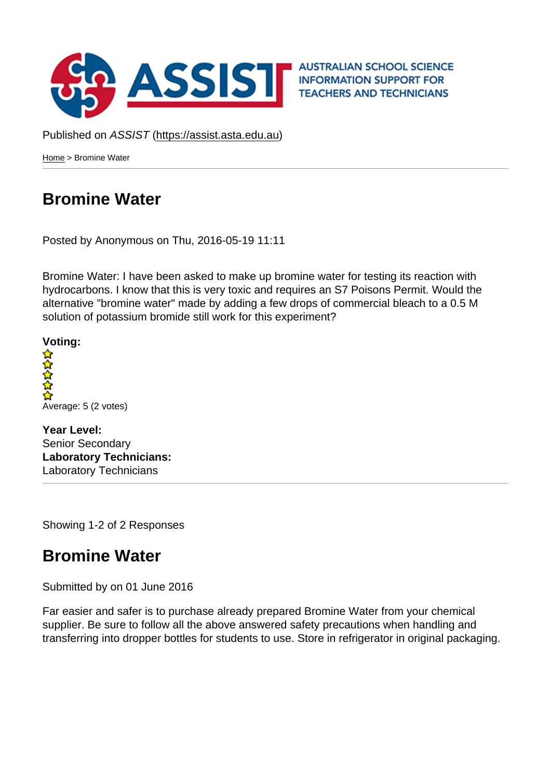Published on ASSIST (https://assist.asta.edu.au)

Home > Bromine Water

## [Bro](https://assist.asta.edu.au/)mine Water

[Posted by Anonymous o](https://assist.asta.edu.au/question/3830/bromine-water)n Thu, 2016-05-19 11:11

Bromine Water: I have been asked to make up bromine water for testing its reaction with hydrocarb[ons. I know t](https://assist.asta.edu.au/user/0)hat this is very toxic and requires an S7 Poisons Permit. Would the alternative "bromine water" made by adding a few drops of commercial bleach to a 0.5 M solution of potassium bromide still work for this experiment?

Voting:

Average: 5 (2 votes)

Year Level: Senior Secondary Laboratory Technicians: Laboratory Technicians

Showing 1-2 of 2 Responses

## Bromine Water

Submitted by on 01 June 2016

Far easier and safer is to purchase already prepared Bromine Water from your chemical supplier. Be sure to follow all the above answered safety precautions when handling and transferring into dropper bottles for students to use. Store in refrigerator in original packaging.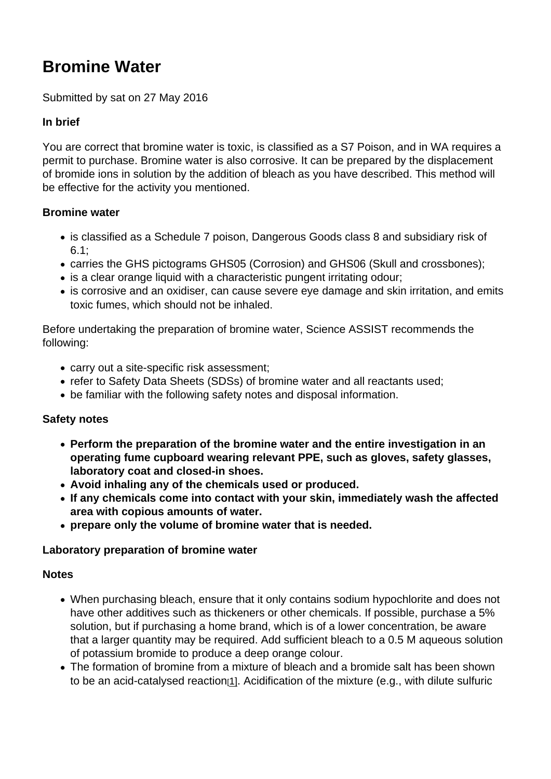# Bromine Water

#### Submitted by sat on 27 May 2016

#### In brief

You are correct that bromine water is toxic, is classified as a S7 Poison, and in WA requires a permit to purchase. Bromine water is also corrosive. It can be prepared by the displacement of bromide ions in solution by the addition of bleach as you have described. This method will be effective for the activity you mentioned.

#### Bromine water

- is classified as a Schedule 7 poison, Dangerous Goods class 8 and subsidiary risk of 6.1;
- carries the GHS pictograms GHS05 (Corrosion) and GHS06 (Skull and crossbones);
- is a clear orange liquid with a characteristic pungent irritating odour;
- is corrosive and an oxidiser, can cause severe eye damage and skin irritation, and emits toxic fumes, which should not be inhaled.

Before undertaking the preparation of bromine water, Science ASSIST recommends the following:

- carry out a site-specific risk assessment;
- refer to Safety Data Sheets (SDSs) of bromine water and all reactants used;
- be familiar with the following safety notes and disposal information.

#### Safety notes

- Perform the preparation of the bromine water and the entire investigation in an operating fume cupboard wearing relevant PPE, such as gloves, safety glasses, laboratory coat and closed-in shoes.
- Avoid inhaling any of the chemicals used or produced.
- If any chemicals come into contact with your skin, immediately wash the affected area with copious amounts of water.
- prepare only the volume of bromine water that is needed.

Laboratory preparation of bromine water

#### **Notes**

- When purchasing bleach, ensure that it only contains sodium hypochlorite and does not have other additives such as thickeners or other chemicals. If possible, purchase a 5% solution, but if purchasing a home brand, which is of a lower concentration, be aware that a larger quantity may be required. Add sufficient bleach to a 0.5 M aqueous solution of potassium bromide to produce a deep orange colour.
- The formation of bromine from a mixture of bleach and a bromide salt has been shown to be an acid-catalysed reaction<sup>[1]</sup>. Acidification of the mixture (e.g., with dilute sulfuric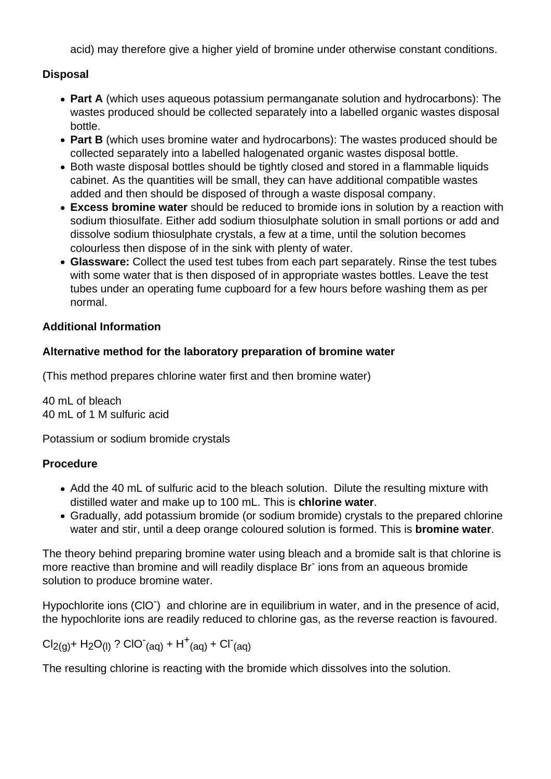acid) may therefore give a higher yield of bromine under otherwise constant conditions.

## **Disposal**

- **Part A** (which uses aqueous potassium permanganate solution and hydrocarbons): The wastes produced should be collected separately into a labelled organic wastes disposal bottle.
- **Part B** (which uses bromine water and hydrocarbons): The wastes produced should be collected separately into a labelled halogenated organic wastes disposal bottle.
- Both waste disposal bottles should be tightly closed and stored in a flammable liquids cabinet. As the quantities will be small, they can have additional compatible wastes added and then should be disposed of through a waste disposal company.
- **Excess bromine water** should be reduced to bromide ions in solution by a reaction with sodium thiosulfate. Either add sodium thiosulphate solution in small portions or add and dissolve sodium thiosulphate crystals, a few at a time, until the solution becomes colourless then dispose of in the sink with plenty of water.
- **Glassware:** Collect the used test tubes from each part separately. Rinse the test tubes with some water that is then disposed of in appropriate wastes bottles. Leave the test tubes under an operating fume cupboard for a few hours before washing them as per normal.

## **Additional Information**

## **Alternative method for the laboratory preparation of bromine water**

(This method prepares chlorine water first and then bromine water)

40 mL of bleach 40 mL of 1 M sulfuric acid

Potassium or sodium bromide crystals

### **Procedure**

- Add the 40 mL of sulfuric acid to the bleach solution. Dilute the resulting mixture with distilled water and make up to 100 mL. This is **chlorine water**.
- Gradually, add potassium bromide (or sodium bromide) crystals to the prepared chlorine water and stir, until a deep orange coloured solution is formed. This is **bromine water**.

The theory behind preparing bromine water using bleach and a bromide salt is that chlorine is more reactive than bromine and will readily displace Br<sup>-</sup> ions from an aqueous bromide solution to produce bromine water.

Hypochlorite ions (CIO<sup>-</sup>) and chlorine are in equilibrium in water, and in the presence of acid, the hypochlorite ions are readily reduced to chlorine gas, as the reverse reaction is favoured.

 $Cl_{2(g)}$ + H<sub>2</sub>O<sub>(l)</sub> ? CIO<sup>-</sup>(aq) + H<sup>+</sup>(aq) + CI<sup>-</sup>(aq)

The resulting chlorine is reacting with the bromide which dissolves into the solution.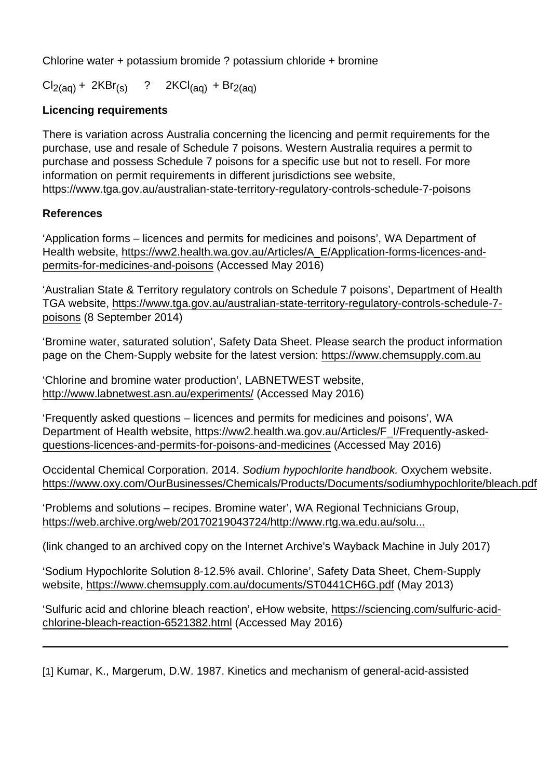Chlorine water + potassium bromide ? potassium chloride + bromine

 $Cl_{2(aq)} + 2KBr_{(s)}$  ? 2KCl<sub>(aq)</sub> + Br<sub>2(aq)</sub>

Licencing requirements

There is variation across Australia concerning the licencing and permit requirements for the purchase, use and resale of Schedule 7 poisons. Western Australia requires a permit to purchase and possess Schedule 7 poisons for a specific use but not to resell. For more information on permit requirements in different jurisdictions see website, https://www.tga.gov.au/australian-state-territory-regulatory-controls-schedule-7-poisons

## References

['Application forms – licences and permits for medicines and poisons', WA Department o](https://www.tga.gov.au/australian-state-territory-regulatory-controls-schedule-7-poisons)f Health website, https://ww2.health.wa.gov.au/Articles/A\_E/Application-forms-licences-andpermits-for-medicines-and-poisons (Accessed May 2016)

'Australian Stat[e & Territory regulatory controls on Schedule 7 poisons', Department of Hea](https://ww2.health.wa.gov.au/Articles/A_E/Application-forms-licences-and-permits-for-medicines-and-poisons)lth [TGA website, https://www.tga.gov.a](https://ww2.health.wa.gov.au/Articles/A_E/Application-forms-licences-and-permits-for-medicines-and-poisons)u/australian-state-territory-regulatory-controls-schedule-7 poisons (8 September 2014)

'Bromine wat[er, saturated solution', Safety Data Sheet. Please search the product information](https://www.tga.gov.au/australian-state-territory-regulatory-controls-schedule-7-poisons)  [page on](https://www.tga.gov.au/australian-state-territory-regulatory-controls-schedule-7-poisons) the Chem-Supply website for the latest version: https://www.chemsupply.com.au

'Chlorine and bromine water production', LABNETWEST website, http://www.labnetwest.asn.au/experiments/ (Accessed M[ay 2016\)](https://www.chemsupply.com.au)

'Frequently asked questions – licences and permits for medicines and poisons', WA [Department of Health website, https://ww2.](http://www.labnetwest.asn.au/experiments/)health.wa.gov.au/Articles/F\_I/Frequently-askedquestions-licences-and-permits-for-poisons-and-medicines (Accessed May 2016)

Occidental Chemical Corporation. 2014. Sodium hypochlorite handbook. Oxychem website. [https://www.oxy.com/OurBusinesses/Chemicals/Products/Documents/sodiumhypochlorite/b](https://ww2.health.wa.gov.au/Articles/F_I/Frequently-asked-questions-licences-and-permits-for-poisons-and-medicines)leach.pdf

'Problems and solutions – recipes. Bromine water', WA Regional Technicians Group, [https://web.archive.org/web/20170219043724/http://www.rtg.wa.edu.au/solu...](https://www.oxy.com/OurBusinesses/Chemicals/Products/Documents/sodiumhypochlorite/bleach.pdf)

(link changed to an archived copy on the Internet Archive's Wayback Machine in July 2017)

['Sodium Hypochlorite Solution 8-12.5% avail. Chlorine', Safety Data Sheet, Ch](https://web.archive.org/web/20170219043724/http://www.rtg.wa.edu.au/solution/probsoln.htm#bromine)em-Supply website, https://www.chemsupply.com.au/documents/ST0441CH6G.pdf (May 2013)

'Sulfuric acid and chlorine bleach reaction', eHow website, https://sciencing.com/sulfuric-acidchlorine-[bleach-reaction-6521382.html \(Accessed May 2016\)](https://www.chemsupply.com.au/documents/ST0441CH6G.pdf)

[1] [Kumar, K., Margerum, D.W. 1987. K](https://sciencing.com/sulfuric-acid-chlorine-bleach-reaction-6521382.html)inetics and mechanism of general-acid-assisted